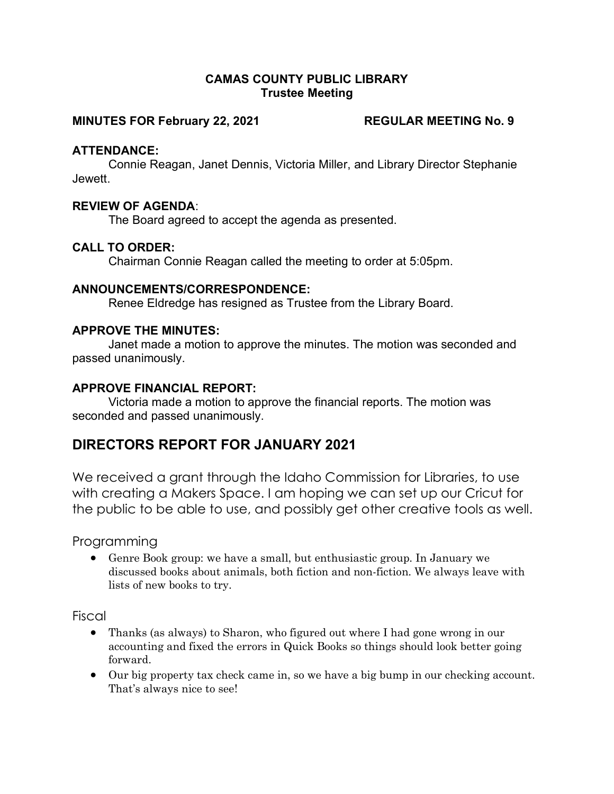#### CAMAS COUNTY PUBLIC LIBRARY Trustee Meeting

#### MINUTES FOR February 22, 2021 REGULAR MEETING No. 9

#### ATTENDANCE:

Connie Reagan, Janet Dennis, Victoria Miller, and Library Director Stephanie Jewett.

#### REVIEW OF AGENDA:

The Board agreed to accept the agenda as presented.

### CALL TO ORDER:

Chairman Connie Reagan called the meeting to order at 5:05pm.

#### ANNOUNCEMENTS/CORRESPONDENCE:

Renee Eldredge has resigned as Trustee from the Library Board.

#### APPROVE THE MINUTES:

Janet made a motion to approve the minutes. The motion was seconded and passed unanimously.

#### APPROVE FINANCIAL REPORT:

Victoria made a motion to approve the financial reports. The motion was seconded and passed unanimously.

# DIRECTORS REPORT FOR JANUARY 2021

We received a grant through the Idaho Commission for Libraries, to use with creating a Makers Space. I am hoping we can set up our Cricut for the public to be able to use, and possibly get other creative tools as well.

Programming

 Genre Book group: we have a small, but enthusiastic group. In January we discussed books about animals, both fiction and non-fiction. We always leave with lists of new books to try.

Fiscal

- Thanks (as always) to Sharon, who figured out where I had gone wrong in our accounting and fixed the errors in Quick Books so things should look better going forward.
- Our big property tax check came in, so we have a big bump in our checking account. That's always nice to see!